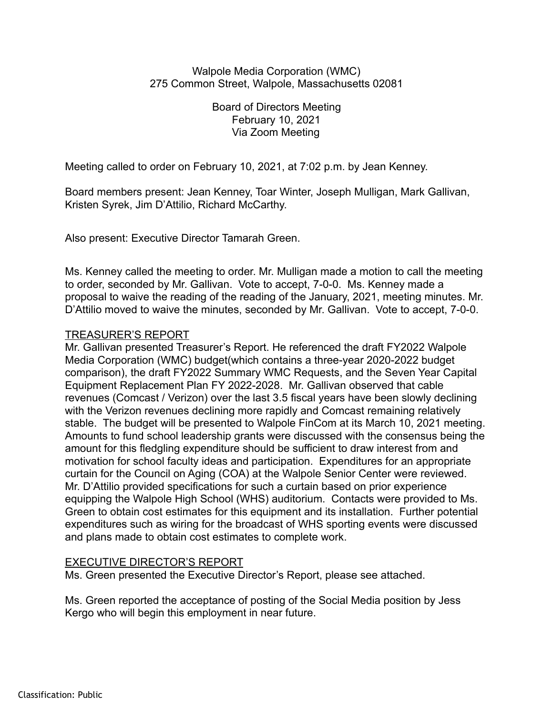#### Walpole Media Corporation (WMC) 275 Common Street, Walpole, Massachusetts 02081

Board of Directors Meeting February 10, 2021 Via Zoom Meeting

Meeting called to order on February 10, 2021, at 7:02 p.m. by Jean Kenney.

Board members present: Jean Kenney, Toar Winter, Joseph Mulligan, Mark Gallivan, Kristen Syrek, Jim D'Attilio, Richard McCarthy.

Also present: Executive Director Tamarah Green.

Ms. Kenney called the meeting to order. Mr. Mulligan made a motion to call the meeting to order, seconded by Mr. Gallivan. Vote to accept, 7-0-0. Ms. Kenney made a proposal to waive the reading of the reading of the January, 2021, meeting minutes. Mr. D'Attilio moved to waive the minutes, seconded by Mr. Gallivan. Vote to accept, 7-0-0.

#### TREASURER'S REPORT

Mr. Gallivan presented Treasurer's Report. He referenced the draft FY2022 Walpole Media Corporation (WMC) budget(which contains a three-year 2020-2022 budget comparison), the draft FY2022 Summary WMC Requests, and the Seven Year Capital Equipment Replacement Plan FY 2022-2028. Mr. Gallivan observed that cable revenues (Comcast / Verizon) over the last 3.5 fiscal years have been slowly declining with the Verizon revenues declining more rapidly and Comcast remaining relatively stable. The budget will be presented to Walpole FinCom at its March 10, 2021 meeting. Amounts to fund school leadership grants were discussed with the consensus being the amount for this fledgling expenditure should be sufficient to draw interest from and motivation for school faculty ideas and participation. Expenditures for an appropriate curtain for the Council on Aging (COA) at the Walpole Senior Center were reviewed. Mr. D'Attilio provided specifications for such a curtain based on prior experience equipping the Walpole High School (WHS) auditorium. Contacts were provided to Ms. Green to obtain cost estimates for this equipment and its installation. Further potential expenditures such as wiring for the broadcast of WHS sporting events were discussed and plans made to obtain cost estimates to complete work.

# EXECUTIVE DIRECTOR'S REPORT

Ms. Green presented the Executive Director's Report, please see attached.

Ms. Green reported the acceptance of posting of the Social Media position by Jess Kergo who will begin this employment in near future.